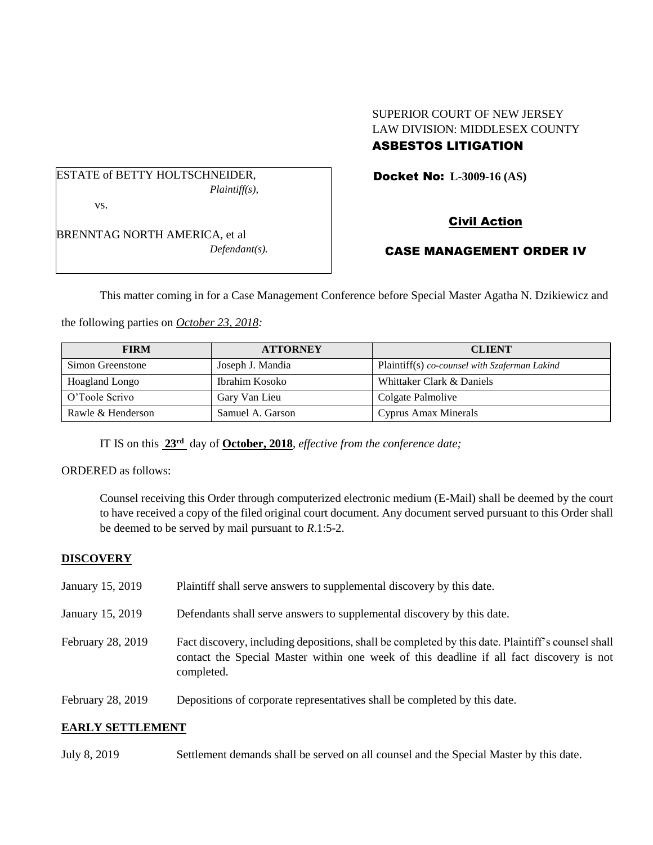## SUPERIOR COURT OF NEW JERSEY LAW DIVISION: MIDDLESEX COUNTY ASBESTOS LITIGATION

Docket No: **L-3009-16 (AS)** 

ESTATE of BETTY HOLTSCHNEIDER, *Plaintiff(s),*

vs.

BRENNTAG NORTH AMERICA, et al *Defendant(s).* Civil Action

# CASE MANAGEMENT ORDER IV

This matter coming in for a Case Management Conference before Special Master Agatha N. Dzikiewicz and

the following parties on *October 23, 2018:*

| <b>FIRM</b>       | <b>ATTORNEY</b>  | <b>CLIENT</b>                                 |
|-------------------|------------------|-----------------------------------------------|
| Simon Greenstone  | Joseph J. Mandia | Plaintiff(s) co-counsel with Szaferman Lakind |
| Hoagland Longo    | Ibrahim Kosoko   | Whittaker Clark & Daniels                     |
| O'Toole Scrivo    | Gary Van Lieu    | Colgate Palmolive                             |
| Rawle & Henderson | Samuel A. Garson | Cyprus Amax Minerals                          |

IT IS on this **23rd** day of **October, 2018**, *effective from the conference date;*

ORDERED as follows:

Counsel receiving this Order through computerized electronic medium (E-Mail) shall be deemed by the court to have received a copy of the filed original court document. Any document served pursuant to this Order shall be deemed to be served by mail pursuant to *R*.1:5-2.

# **DISCOVERY**

| January 15, 2019  | Plaintiff shall serve answers to supplemental discovery by this date.                                                                                                                                       |
|-------------------|-------------------------------------------------------------------------------------------------------------------------------------------------------------------------------------------------------------|
| January 15, 2019  | Defendants shall serve answers to supplemental discovery by this date.                                                                                                                                      |
| February 28, 2019 | Fact discovery, including depositions, shall be completed by this date. Plaintiff's counsel shall<br>contact the Special Master within one week of this deadline if all fact discovery is not<br>completed. |
| February 28, 2019 | Depositions of corporate representatives shall be completed by this date.                                                                                                                                   |

## **EARLY SETTLEMENT**

July 8, 2019 Settlement demands shall be served on all counsel and the Special Master by this date.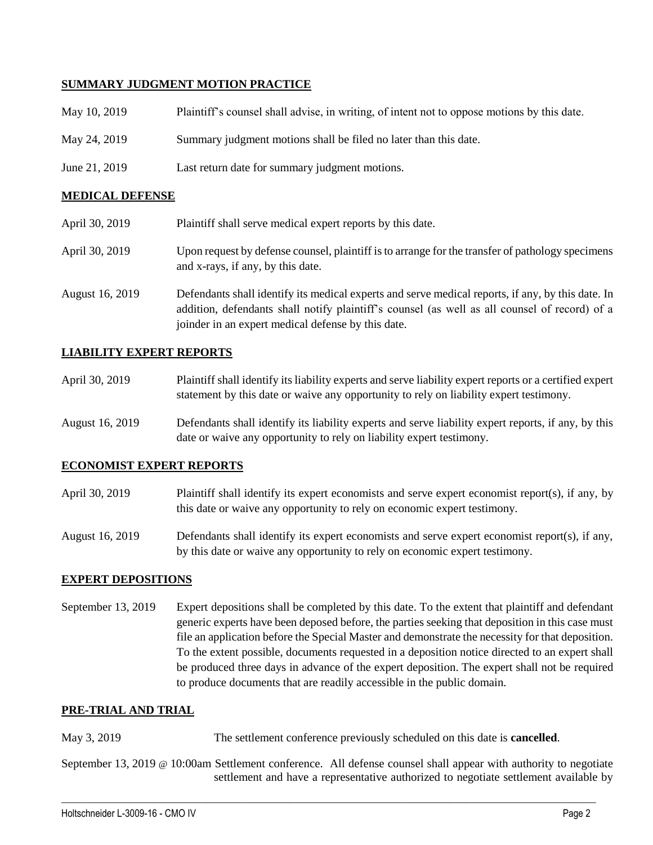### **SUMMARY JUDGMENT MOTION PRACTICE**

| May 10, 2019  | Plaintiff's counsel shall advise, in writing, of intent not to oppose motions by this date. |
|---------------|---------------------------------------------------------------------------------------------|
| May 24, 2019  | Summary judgment motions shall be filed no later than this date.                            |
| June 21, 2019 | Last return date for summary judgment motions.                                              |

#### **MEDICAL DEFENSE**

| April 30, 2019  | Plaintiff shall serve medical expert reports by this date.                                                                                                                                                                                               |
|-----------------|----------------------------------------------------------------------------------------------------------------------------------------------------------------------------------------------------------------------------------------------------------|
| April 30, 2019  | Upon request by defense counsel, plaintiff is to arrange for the transfer of pathology specimens<br>and x-rays, if any, by this date.                                                                                                                    |
| August 16, 2019 | Defendants shall identify its medical experts and serve medical reports, if any, by this date. In<br>addition, defendants shall notify plaintiff's counsel (as well as all counsel of record) of a<br>joinder in an expert medical defense by this date. |

#### **LIABILITY EXPERT REPORTS**

| April 30, 2019 | Plaintiff shall identify its liability experts and serve liability expert reports or a certified expert |
|----------------|---------------------------------------------------------------------------------------------------------|
|                | statement by this date or waive any opportunity to rely on liability expert testimony.                  |

August 16, 2019 Defendants shall identify its liability experts and serve liability expert reports, if any, by this date or waive any opportunity to rely on liability expert testimony.

#### **ECONOMIST EXPERT REPORTS**

April 30, 2019 Plaintiff shall identify its expert economists and serve expert economist report(s), if any, by this date or waive any opportunity to rely on economic expert testimony.

August 16, 2019 Defendants shall identify its expert economists and serve expert economist report(s), if any, by this date or waive any opportunity to rely on economic expert testimony.

#### **EXPERT DEPOSITIONS**

September 13, 2019 Expert depositions shall be completed by this date. To the extent that plaintiff and defendant generic experts have been deposed before, the parties seeking that deposition in this case must file an application before the Special Master and demonstrate the necessity for that deposition. To the extent possible, documents requested in a deposition notice directed to an expert shall be produced three days in advance of the expert deposition. The expert shall not be required to produce documents that are readily accessible in the public domain.

#### **PRE-TRIAL AND TRIAL**

May 3, 2019 The settlement conference previously scheduled on this date is **cancelled**.

September 13, 2019 @ 10:00am Settlement conference. All defense counsel shall appear with authority to negotiate settlement and have a representative authorized to negotiate settlement available by

 $\_$  ,  $\_$  ,  $\_$  ,  $\_$  ,  $\_$  ,  $\_$  ,  $\_$  ,  $\_$  ,  $\_$  ,  $\_$  ,  $\_$  ,  $\_$  ,  $\_$  ,  $\_$  ,  $\_$  ,  $\_$  ,  $\_$  ,  $\_$  ,  $\_$  ,  $\_$  ,  $\_$  ,  $\_$  ,  $\_$  ,  $\_$  ,  $\_$  ,  $\_$  ,  $\_$  ,  $\_$  ,  $\_$  ,  $\_$  ,  $\_$  ,  $\_$  ,  $\_$  ,  $\_$  ,  $\_$  ,  $\_$  ,  $\_$  ,